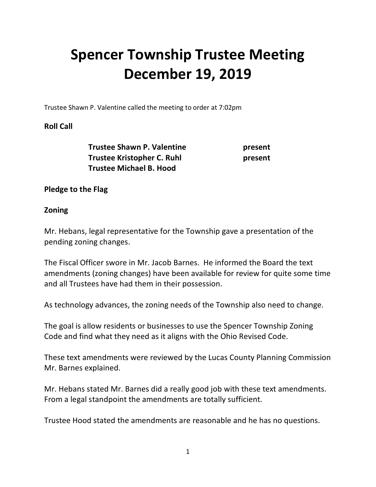# **Spencer Township Trustee Meeting December 19, 2019**

Trustee Shawn P. Valentine called the meeting to order at 7:02pm

## **Roll Call**

**Trustee Shawn P. Valentine** *present* **Trustee Kristopher C. Ruhl in the present in the present in the present in the present in the present in the present in the present in the present in the present in the present in the present in the present in the present Trustee Michael B. Hood** 

## **Pledge to the Flag**

## **Zoning**

Mr. Hebans, legal representative for the Township gave a presentation of the pending zoning changes.

The Fiscal Officer swore in Mr. Jacob Barnes. He informed the Board the text amendments (zoning changes) have been available for review for quite some time and all Trustees have had them in their possession.

As technology advances, the zoning needs of the Township also need to change.

The goal is allow residents or businesses to use the Spencer Township Zoning Code and find what they need as it aligns with the Ohio Revised Code.

These text amendments were reviewed by the Lucas County Planning Commission Mr. Barnes explained.

Mr. Hebans stated Mr. Barnes did a really good job with these text amendments. From a legal standpoint the amendments are totally sufficient.

Trustee Hood stated the amendments are reasonable and he has no questions.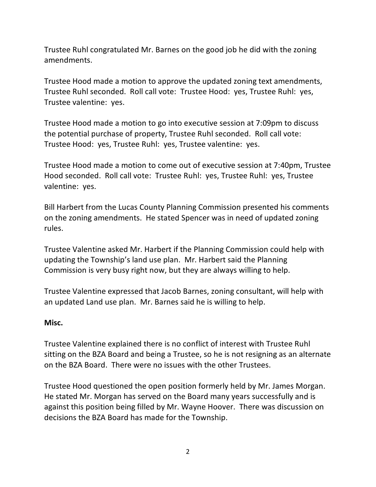Trustee Ruhl congratulated Mr. Barnes on the good job he did with the zoning amendments.

Trustee Hood made a motion to approve the updated zoning text amendments, Trustee Ruhl seconded. Roll call vote: Trustee Hood: yes, Trustee Ruhl: yes, Trustee valentine: yes.

Trustee Hood made a motion to go into executive session at 7:09pm to discuss the potential purchase of property, Trustee Ruhl seconded. Roll call vote: Trustee Hood: yes, Trustee Ruhl: yes, Trustee valentine: yes.

Trustee Hood made a motion to come out of executive session at 7:40pm, Trustee Hood seconded. Roll call vote: Trustee Ruhl: yes, Trustee Ruhl: yes, Trustee valentine: yes.

Bill Harbert from the Lucas County Planning Commission presented his comments on the zoning amendments. He stated Spencer was in need of updated zoning rules.

Trustee Valentine asked Mr. Harbert if the Planning Commission could help with updating the Township's land use plan. Mr. Harbert said the Planning Commission is very busy right now, but they are always willing to help.

Trustee Valentine expressed that Jacob Barnes, zoning consultant, will help with an updated Land use plan. Mr. Barnes said he is willing to help.

#### **Misc.**

Trustee Valentine explained there is no conflict of interest with Trustee Ruhl sitting on the BZA Board and being a Trustee, so he is not resigning as an alternate on the BZA Board. There were no issues with the other Trustees.

Trustee Hood questioned the open position formerly held by Mr. James Morgan. He stated Mr. Morgan has served on the Board many years successfully and is against this position being filled by Mr. Wayne Hoover. There was discussion on decisions the BZA Board has made for the Township.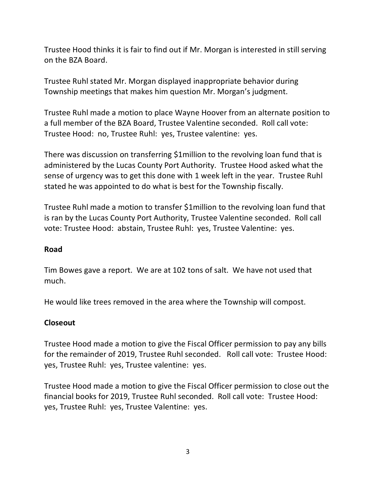Trustee Hood thinks it is fair to find out if Mr. Morgan is interested in still serving on the BZA Board.

Trustee Ruhl stated Mr. Morgan displayed inappropriate behavior during Township meetings that makes him question Mr. Morgan's judgment.

Trustee Ruhl made a motion to place Wayne Hoover from an alternate position to a full member of the BZA Board, Trustee Valentine seconded. Roll call vote: Trustee Hood: no, Trustee Ruhl: yes, Trustee valentine: yes.

There was discussion on transferring \$1million to the revolving loan fund that is administered by the Lucas County Port Authority. Trustee Hood asked what the sense of urgency was to get this done with 1 week left in the year. Trustee Ruhl stated he was appointed to do what is best for the Township fiscally.

Trustee Ruhl made a motion to transfer \$1million to the revolving loan fund that is ran by the Lucas County Port Authority, Trustee Valentine seconded. Roll call vote: Trustee Hood: abstain, Trustee Ruhl: yes, Trustee Valentine: yes.

## **Road**

Tim Bowes gave a report. We are at 102 tons of salt. We have not used that much.

He would like trees removed in the area where the Township will compost.

#### **Closeout**

Trustee Hood made a motion to give the Fiscal Officer permission to pay any bills for the remainder of 2019, Trustee Ruhl seconded. Roll call vote: Trustee Hood: yes, Trustee Ruhl: yes, Trustee valentine: yes.

Trustee Hood made a motion to give the Fiscal Officer permission to close out the financial books for 2019, Trustee Ruhl seconded. Roll call vote: Trustee Hood: yes, Trustee Ruhl: yes, Trustee Valentine: yes.